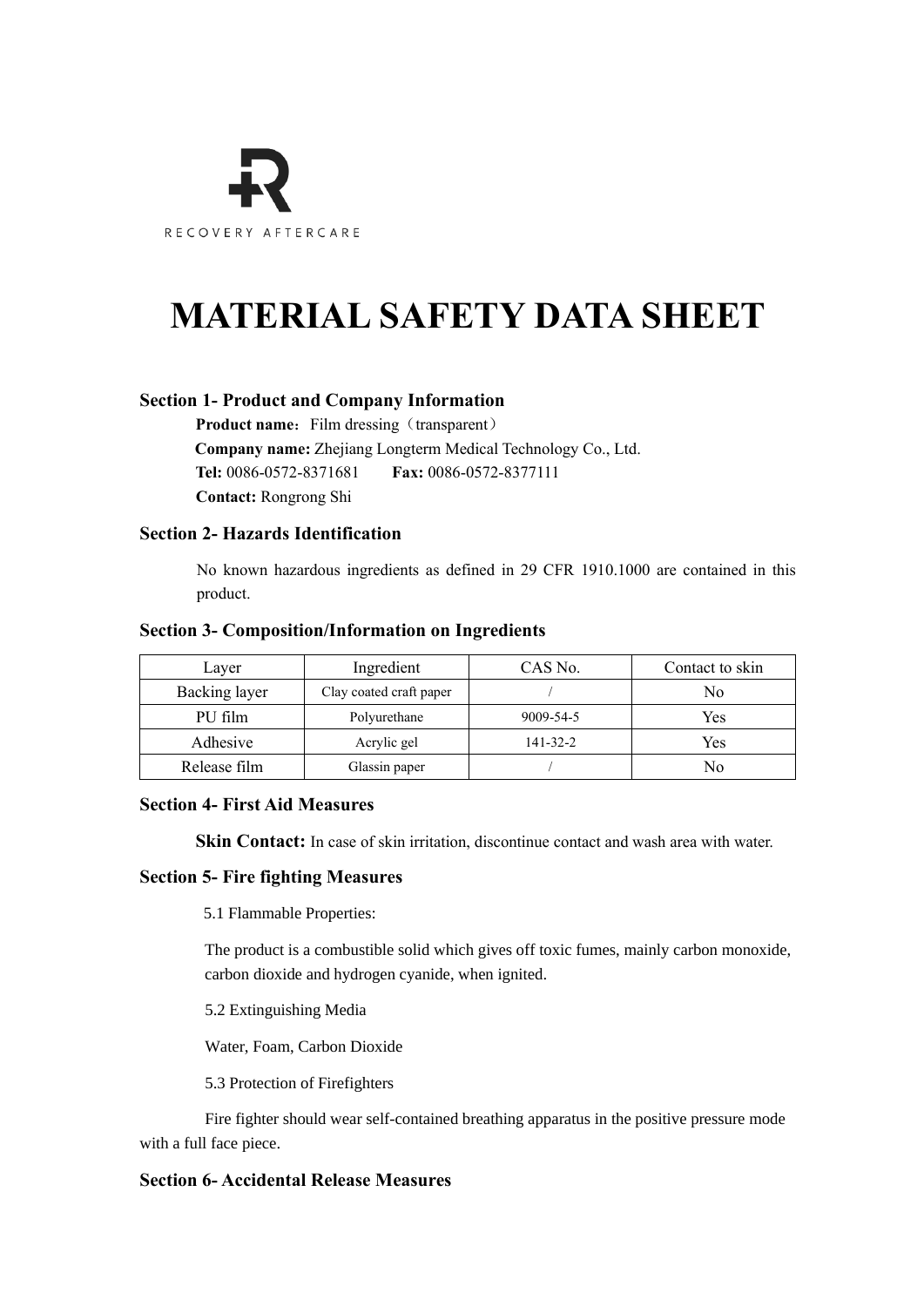

# **MATERIAL SAFETY DATA SHEET**

# **Section 1- Product and Company Information**

**Product name:** Film dressing (transparent)

**Company name:** Zhejiang Longterm Medical Technology Co., Ltd.

**Tel:** 0086-0572-8371681 **Fax:** 0086-0572-8377111

**Contact:** Rongrong Shi

# **Section 2- Hazards Identification**

No known hazardous ingredients as defined in 29 CFR 1910.1000 are contained in this product.

## **Section 3- Composition/Information on Ingredients**

| Layer         | Ingredient              | CAS No.   | Contact to skin |
|---------------|-------------------------|-----------|-----------------|
| Backing layer | Clay coated craft paper |           | No              |
| PU film       | Polyurethane            | 9009-54-5 | Yes             |
| Adhesive      | Acrylic gel             | 141-32-2  | Yes             |
| Release film  | Glassin paper           |           | No              |

## **Section 4- First Aid Measures**

**Skin Contact:** In case of skin irritation, discontinue contact and wash area with water.

## **Section 5- Fire fighting Measures**

5.1 Flammable Properties:

 The product is a combustible solid which gives off toxic fumes, mainly carbon monoxide, carbon dioxide and hydrogen cyanide, when ignited.

5.2 Extinguishing Media

Water, Foam, Carbon Dioxide

5.3 Protection of Firefighters

 Fire fighter should wear self-contained breathing apparatus in the positive pressure mode with a full face piece.

# **Section 6- Accidental Release Measures**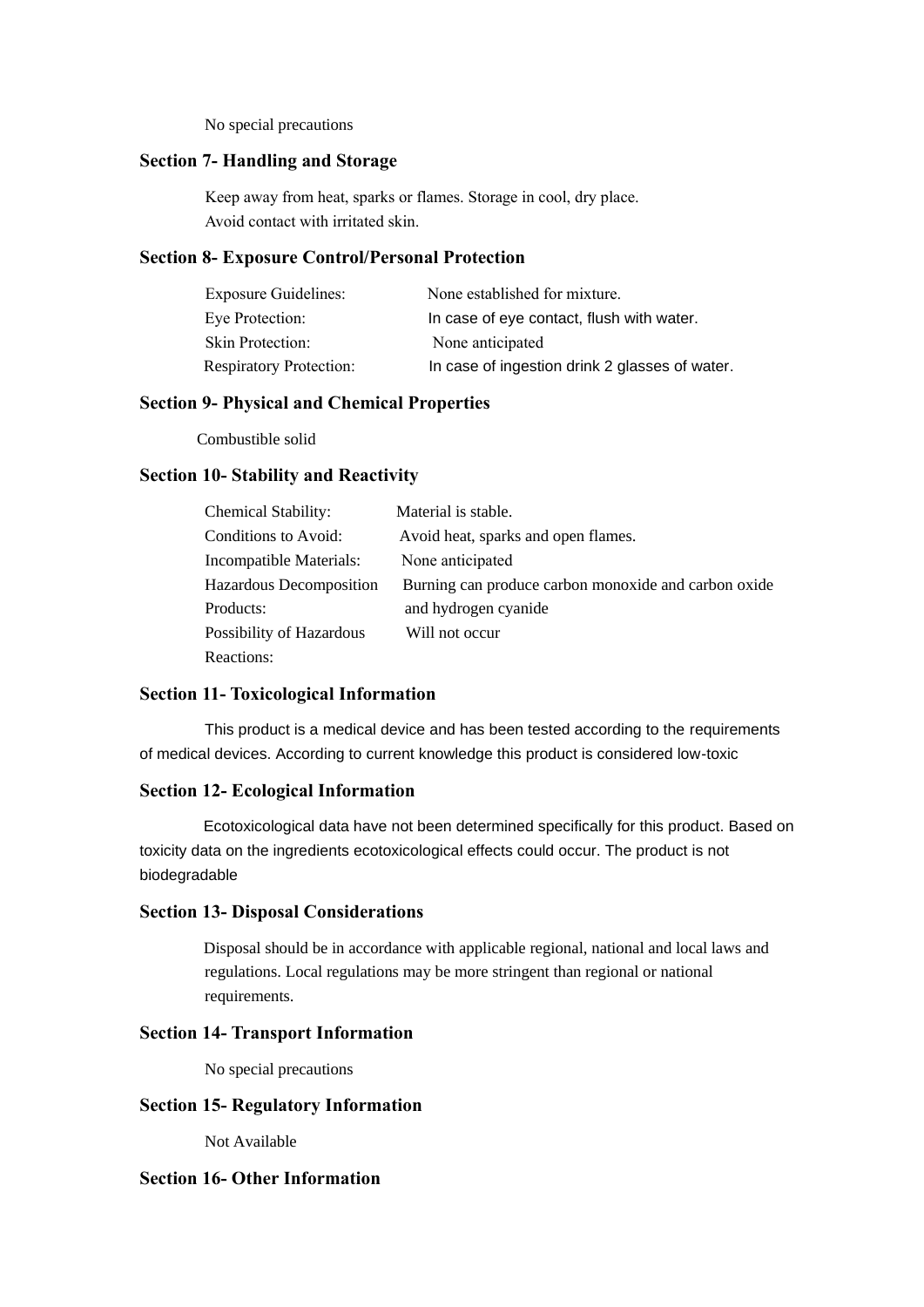No special precautions

## **Section 7- Handling and Storage**

Keep away from heat, sparks or flames. Storage in cool, dry place. Avoid contact with irritated skin.

#### **Section 8- Exposure Control/Personal Protection**

| <b>Exposure Guidelines:</b>    | None established for mixture.                  |  |
|--------------------------------|------------------------------------------------|--|
| Eye Protection:                | In case of eye contact, flush with water.      |  |
| <b>Skin Protection:</b>        | None anticipated                               |  |
| <b>Respiratory Protection:</b> | In case of ingestion drink 2 glasses of water. |  |

## **Section 9- Physical and Chemical Properties**

Combustible solid

#### **Section 10- Stability and Reactivity**

| <b>Chemical Stability:</b> | Material is stable.                                  |
|----------------------------|------------------------------------------------------|
| Conditions to Avoid:       | Avoid heat, sparks and open flames.                  |
| Incompatible Materials:    | None anticipated                                     |
| Hazardous Decomposition    | Burning can produce carbon monoxide and carbon oxide |
| Products:                  | and hydrogen cyanide                                 |
| Possibility of Hazardous   | Will not occur                                       |
| Reactions:                 |                                                      |

#### **Section 11- Toxicological Information**

 This product is a medical device and has been tested according to the requirements of medical devices. According to current knowledge this product is considered low-toxic

#### **Section 12- Ecological Information**

 Ecotoxicological data have not been determined specifically for this product. Based on toxicity data on the ingredients ecotoxicological effects could occur. The product is not biodegradable

#### **Section 13- Disposal Considerations**

 Disposal should be in accordance with applicable regional, national and local laws and regulations. Local regulations may be more stringent than regional or national requirements.

## **Section 14- Transport Information**

No special precautions

### **Section 15- Regulatory Information**

Not Available

#### **Section 16- Other Information**